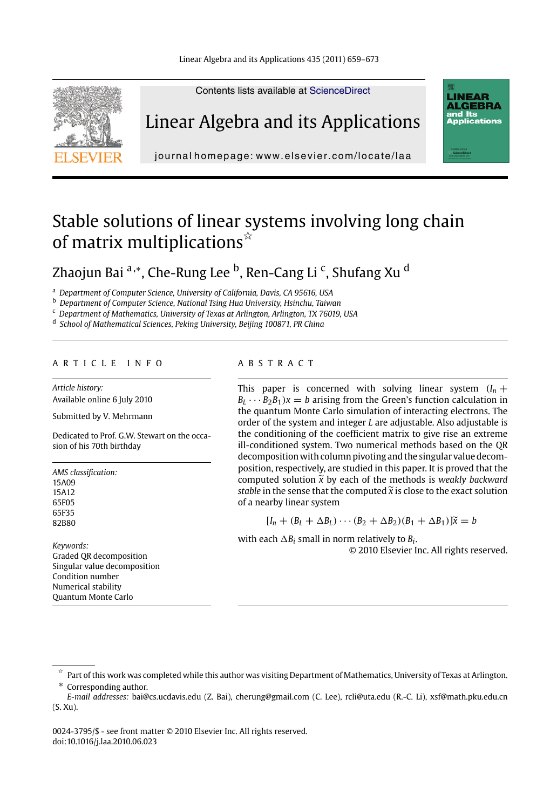Linear Algebra and its Applications 435 (2011) 659–673

Contents lists available at ScienceDirect



Linear Algebra and its Applications



journal homepage: www.elsevier.com/locate/laa

# Stable solutions of linear systems involving long chain of matrix multiplications $\overline{\mathbb{A}}$

Zhaojun Bai <sup>a,</sup>\*, Che-Rung Lee <sup>b</sup>, Ren-Cang Li <sup>c</sup>, Shufang Xu <sup>d</sup>

<sup>a</sup> *Department of Computer Science, University of California, Davis, CA 95616, USA*

<sup>b</sup> *Department of Computer Science, National Tsing Hua University, Hsinchu, Taiwan*

<sup>c</sup> *Department of Mathematics, University of Texas at Arlington, Arlington, TX 76019, USA*

<sup>d</sup> *School of Mathematical Sciences, Peking University, Beijing 100871, PR China*

### ARTICLE INFO ABSTRACT

*Article history:* Available online 6 July 2010

Submitted by V. Mehrmann

Dedicated to Prof. G.W. Stewart on the occasion of his 70th birthday

*AMS classification:* 15A09 15A12 65F05 65F35 82B80

*Keywords:* Graded QR decomposition Singular value decomposition Condition number Numerical stability Quantum Monte Carlo

This paper is concerned with solving linear system  $(I_n + I_n)$  $B_L \cdots B_2 B_1$ ) $x = b$  arising from the Green's function calculation in the quantum Monte Carlo simulation of interacting electrons. The order of the system and integer *L* are adjustable. Also adjustable is the conditioning of the coefficient matrix to give rise an extreme ill-conditioned system. Two numerical methods based on the QR decomposition with column pivoting and the singular value decomposition, respectively, are studied in this paper. It is proved that the computed solution  $\tilde{x}$  by each of the methods is *weakly backward*<br>stable in the sense that the semputed  $\tilde{y}$  is close to the exact solution *stable* in the sense that the computed-*x* is close to the exact solution of a nearby linear system

 $[I_n + (B_L + \Delta B_L) \cdots (B_2 + \Delta B_2)(B_1 + \Delta B_1)]\tilde{x} = b$ 

with each  $\Delta B_i$  small in norm relatively to  $B_i.$ © 2010 Elsevier Inc. All rights reserved.

<sup>-</sup> Part of this work was completed while this author was visiting Department of Mathematics, University of Texas at Arlington. Corresponding author.

*E-mail addresses:* bai@cs.ucdavis.edu (Z. Bai), cherung@gmail.com (C. Lee), rcli@uta.edu (R.-C. Li), xsf@math.pku.edu.cn (S. Xu).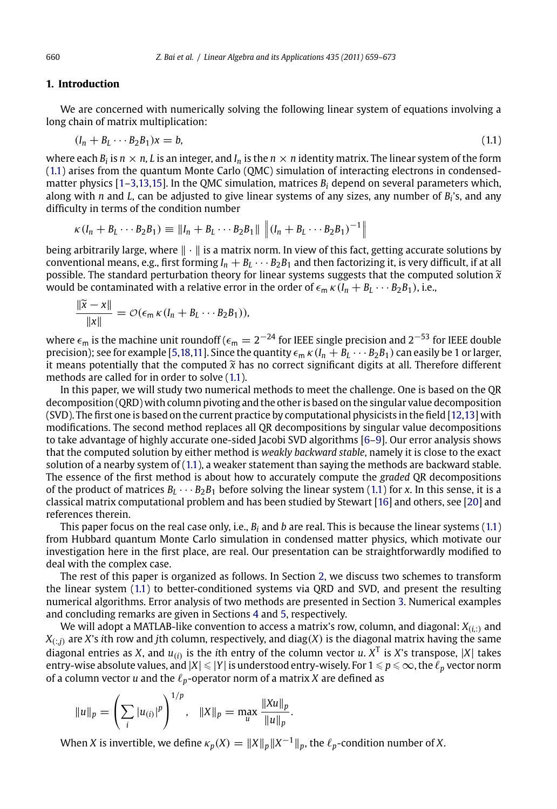#### **1. Introduction**

We are concerned with numerically solving the following linear system of equations involving a long chain of matrix multiplication:

$$
(I_n + B_L \cdots B_2 B_1)x = b,\tag{1.1}
$$

where each  $B_i$  is  $n \times n$ , L is an integer, and  $I_n$  is the  $n \times n$  identity matrix. The linear system of the form (1.1) arises from the quantum Monte Carlo (QMC) simulation of interacting electrons in condensedmatter physics [1–3,13,15]. In the QMC simulation, matrices *Bi* depend on several parameters which, along with *n* and *L*, can be adjusted to give linear systems of any sizes, any number of *Bi*'s, and any difficulty in terms of the condition number

$$
\kappa (I_n + B_L \cdots B_2 B_1) \equiv ||I_n + B_L \cdots B_2 B_1|| \, ||(I_n + B_L \cdots B_2 B_1)^{-1}||
$$

being arbitrarily large, where  $\|\cdot\|$  is a matrix norm. In view of this fact, getting accurate solutions by conventional means, e.g., first forming  $I_n + B_L \cdots B_2 B_1$  and then factorizing it, is very difficult, if at all possible. The standard perturbation theory for linear systems suggests that the compute[d solut](#page-14-0)ion -*x* would be contaminated with a relative error in the order of  $\epsilon_m \kappa (I_n + B_L \cdots B_2 B_1)$ , i.e.,

$$
\frac{\|\widetilde{x}-x\|}{\|x\|}=\mathcal{O}(\epsilon_m\,\kappa\,(I_n+B_L\cdots B_2B_1)),
$$

where  $\epsilon_m$  is the machine unit roundoff ( $\epsilon_m = 2^{-24}$  for IEEE single precision and  $2^{-53}$  for IEEE double precision); see for example [5,18,11]. Since the quantity  $\epsilon_m \kappa (I_n + B_L \cdots B_2 B_1)$  can easily be 1 or larger, it means potentially that the computed  $\widetilde{x}$  has no correct significant digi[ts a](#page-14-0)t all. Therefore [diffe](#page-14-0)rent<br>methods are called for in order to solve (11) methods are called for in order to solve (1.1).

In this paper, we will study two numerical methods to meet the challenge. One is based on the QR decomposition (QRD) with column pivoting and the other is based on the singular value decomposition (SVD). The first one is based on the current practice by computational physicists in the field [12,13] with modifications. The second method replaces all QR decompositions by singular value decompositions to take advantage of highly accurate one-sided Jacobi SVD al[go](#page-2-0)rithms [6–9]. Our error analysis shows that the computed solution by either method is *weakly backward stable*, namely it is close to the exact solution of a nearby system of (1.1), a weaker statement than saying the metho[ds](#page-6-0) are backward stable. The essence of the first method is about ho[w t](#page-11-0)o ac[cu](#page-13-0)rately compute the *graded* QR decompositions of the product of matrices  $B_L \cdots B_2 B_1$  before solving the linear system (1.1) for *x*. In this sense, it is a classical matrix computational problem and has been studied by Stewart [16] and others, see [20] and references therein.

This paper focus on the real case only, i.e., *Bi* and *b* are real. This is because the linear systems (1.1) from Hubbard quantum Monte Carlo simulation in condensed matter physics, which motivate our investigation here in the first place, are real. Our presentation can be straightforwardly modified to deal with the complex case.

The rest of this paper is organized as follows. In Section 2, we discuss two schemes to transform the linear system (1.1) to better-conditioned systems via QRD and SVD, and present the resulting numerical algorithms. Error analysis of two methods are presented in Section 3. Numerical examples and concluding remarks are given in Sections 4 and 5, respectively.

We will adopt a MATLAB-like convention to access a matrix's row, column, and diagonal: *<sup>X</sup>*(*i,*:) and  $X_{(:,i)}$  are *X*'s *i*th row and *j*th column, respectively, and diag(*X*) is the diagonal matrix having the same diagonal entries as *X*, and  $u_{(i)}$  is the *i*th entry of the column vector *u*.  $X^T$  is *X*'s transpose, |*X*| takes entry-wise absolute values, and  $|X| \le |Y|$  is understood entry-wisely. For  $1 \le p \le \infty$ , the  $\ell_p$  vector norm of a column vector  $u$  and the  $\ell_p$ -operator norm of a matrix  $X$  are defined as

$$
||u||_p = \left(\sum_i |u_{(i)}|^p\right)^{1/p}, \quad ||X||_p = \max_u \frac{||Xu||_p}{||u||_p}.
$$

When *X* is invertible, we define  $\kappa_p(X) = \|X\|_p \|X^{-1}\|_p$ , the  $\ell_p$ -condition number of *X*.

<span id="page-1-0"></span>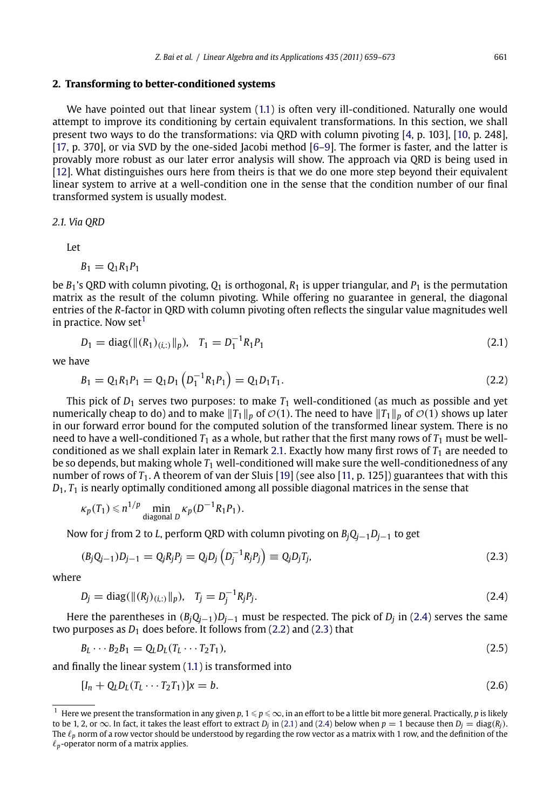# <span id="page-2-0"></span>**2. Transforming to better-conditioned systems**

We have pointed out that linear system (1.1) is often very ill-conditioned. Naturally one would attempt to improve its conditioning by certain equivalent transformations. In this section, we shall present two ways to do the transformations: via QRD with column pivoting [4, p. 103], [10, p. 248], [17, p. 370], or via SVD by the one-sided Jacobi method [6–9]. The former is faster, and the latter is provably more robust as our later error analysis will show. The approach via QRD is being used in [12]. What distinguishes ours here from theirs is that we do one more step beyond their equivalent linear system to arrive at a well-condition one in the sense that the condition number of our final transformed system is usually modest.

*2.1. Via QRD*

Let

$$
B_1=Q_1R_1P_1
$$

be  $B_1$ 's ORD with column pivoting,  $O_1$  is orthogonal,  $R_1$  is upper triangular, and  $P_1$  is the permutation matrix as the result of the column pivoting. While offering no guarantee in general, the diagonal entries of the *R*-factor in QRD with column pivo[ting](#page-3-0) often reflects the singular value magnitudes well in practice. Now set $<sup>1</sup>$ </sup>

$$
D_1 = \text{diag}(\|(R_1)_{(i,:)}\|_p), \quad T_1 = D_1^{-1}R_1P_1 \tag{2.1}
$$

we have

$$
B_1 = Q_1 R_1 P_1 = Q_1 D_1 \left( D_1^{-1} R_1 P_1 \right) = Q_1 D_1 T_1. \tag{2.2}
$$

This pick of  $D_1$  serves two purposes: to make  $T_1$  well-conditioned (as much as possible and yet numerically cheap to do) and to make  $||T_1||_p$  of  $\mathcal{O}(1)$ . The need to have  $||T_1||_p$  of  $\mathcal{O}(1)$  shows up later in our forward error bound for the computed solution of the transformed linear system. There is no need to have a well-conditioned  $T_1$  as a whole, but rather that the first many rows of  $T_1$  must be wellconditioned as we shall explain later in Remark 2.1. Exactly how many first rows of  $T_1$  are needed to be so depends, but making whole *T*<sup>1</sup> well-conditioned will make sure the well-conditionedness of any number of rows of *T*<sub>1</sub>. A theorem of van der Sluis [19] (see also [11, p. 125]) guarantees that with this *D*1*, T*<sup>1</sup> is nearly optimally conditioned among all possible diagonal matrices in the sense that

$$
\kappa_p(T_1) \leq n^{1/p} \min_{\text{diagonal } D} \kappa_p(D^{-1}R_1P_1).
$$

Now for *<sup>j</sup>* from 2 to *<sup>L</sup>*, perf[orm](#page-1-0) QRD with column pivoting on *BjQj*−<sup>1</sup>*Dj*−<sup>1</sup> to get

$$
(B_j Q_{j-1}) D_{j-1} = Q_j R_j P_j = Q_j D_j \left( D_j^{-1} R_j P_j \right) \equiv Q_j D_j T_j, \tag{2.3}
$$

where

$$
D_j = \text{diag}(\|(R_j)_{(i,:)}\|_p), \quad T_j = D_j^{-1} R_j P_j. \tag{2.4}
$$

Here the parentheses in (*BjQj*−<sup>1</sup>)*Dj*−<sup>1</sup> must be respected. The pick of *Dj* in (2.4) serves the same two purposes as  $D_1$  does before. It follows from  $(2.2)$  and  $(2.3)$  that

$$
B_L \cdots B_2 B_1 = Q_L D_L (T_L \cdots T_2 T_1), \qquad (2.5)
$$

and finally the linear system (1.1) is transformed into

$$
[I_n + Q_L D_L (T_L \cdots T_2 T_1)]x = b. \tag{2.6}
$$

<sup>&</sup>lt;sup>1</sup> Here we present the transformation in any given *p*, 1 ≤ *p* ≤ ∞, in an effort to be a little bit more general. Practically, *p* is likely to be 1, 2, or  $\infty$ . In fact, it takes the least effort to extract *D<sub>j</sub>* in (2.1) and (2.4) below when  $p = 1$  because then  $D_j = \text{diag}(R_j)$ . The  $\ell_p$  norm of a row vector should be understood by regarding the row vector as a matrix with 1 row, and the definition of the  $\ell_p$ -operator norm of a matrix applies.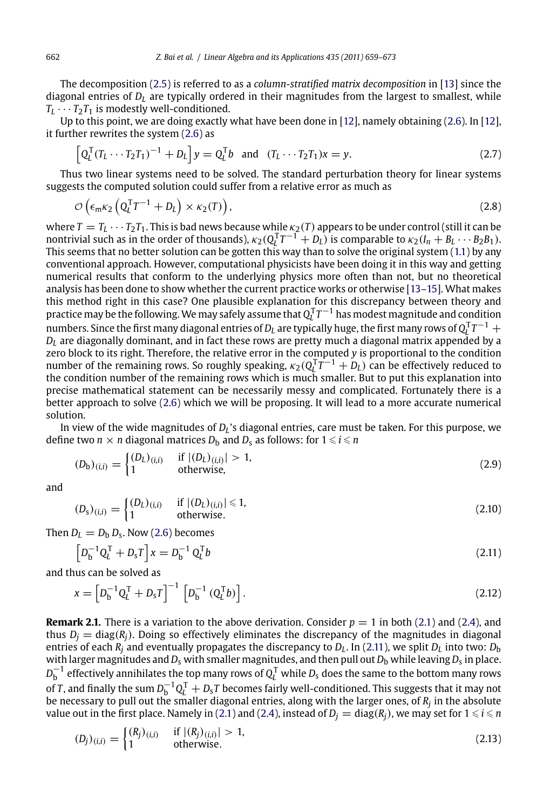The decomposition (2.5) is referred to as a *column-stratified matrix decomposition* in [13] since the diagonal entries of  $D<sub>L</sub>$  are typically ordered in their magnitudes from the largest to smallest, while  $T_L \cdots T_2 T_1$  is modestly well-conditioned.

Up to this point, we are doing exactly what have been done in [12], namely obtaining (2[.6\).](#page-1-0) In [12], it further rewrites the system (2.6) as

$$
\left[Q_{L}^{T}(T_{L}\cdots T_{2}T_{1})^{-1}+D_{L}\right]y=Q_{L}^{T}b \text{ and } (T_{L}\cdots T_{2}T_{1})x=y.
$$
 (2.7)

Thus two linear systems need to be solved. The standard perturbation theory for linear systems suggests the computed solution could suffer from a relative error as much as

$$
\mathcal{O}\left(\epsilon_{\rm m} \kappa_2 \left(Q_l^{\rm T} T^{-1} + D_l\right) \times \kappa_2(T)\right),\tag{2.8}
$$

where  $T = T_L \cdots T_2 T_1$ . This is bad news because while  $\kappa_2(T)$  appears to be under control (still it can be nontrivial such as in the order of thousands),  $\kappa_2(Q_L^{\mathsf{T}}T^{-1} + D_L)$  is comparable to  $\kappa_2(I_n + B_L \cdots B_2 B_1)$ . This seems that no better solution can be gotten this way than to solve the original system (1.1) by any conventional approach. H[owe](#page-2-0)ver, computational physicists have been doing it in this way and getting numerical results that conform to the underlying physics more often than not, but no theoretical analysis has been done to show whether the current practice works or otherwise [13–15]. What makes this method right in this case? One plausible explanation for this discrepancy between theory and practice may be the following. We may safely assume that  $Q_l^{\rm T}\mathcal{T}^{-1}$  has modest magnitude and condition numbers. Since the first many diagonal entries of  $D_L$  are typically huge, the first many rows of  $Q_L^TT^{-1} + I$ *DL* are diagonally dominant, and in fact these rows are pretty much a diagonal matrix appended by a zero block to its right. Therefore, the relative error in the computed *y* is proportional to the condition number of the remaining rows. So roughly speaking,  $\kappa_2(Q_l^T T^{-1} + D_l)$  can be effectively reduced to the condition number of the remaining rows which is much smaller. But to put this explanation into precise mathematical statement can be necessarily messy and complicated. Fortunately there is a better approach to solv[e \(2.](#page-2-0)6) which we will be proposing. It will lead to a more accurate numerical solution.

In view of the wide magnitudes of *DL*'s diagonal entries, care must be taken. For this purpose, we define two  $n \times n$  diagonal matrices  $D_{\mathbf{b}}$  and  $D_{\mathbf{s}}$  as follows: for  $1 \leqslant i \leqslant n$ 

$$
(D_{\mathbf{b}})_{(i,i)} = \begin{cases} (D_L)_{(i,i)} & \text{if } |(D_L)_{(i,i)}| > 1, \\ 1 & \text{otherwise,} \end{cases}
$$
 (2.9)

and

$$
(Ds)(i,i) =\begin{cases} (DL)(i,i) & \text{if } |(DL)(i,i)| \le 1, \\ 1 & \text{otherwise.} \end{cases}
$$
(2.10)

Then  $D_L = D_b D_s$ . Now (2.6) becomes

$$
\left[D_{b}^{-1}Q_{L}^{T} + D_{s}T\right]x = D_{b}^{-1}Q_{L}^{T}b
$$
\n(2.11)

and thus can be solved as

$$
x = \left[D_b^{-1}Q_l^{\mathrm{T}} + D_sT\right]^{-1} \left[D_b^{-1}\left(Q_l^{\mathrm{T}}b\right)\right].\tag{2.12}
$$

**Remark 2.1.** There is a variation to the above derivation. Consider  $p = 1$  in both (2.1) and (2.4), and thus  $D_i = \text{diag}(R_i)$ . Doing so effectively eliminates the discrepancy of the magnitudes in diagonal entries of each  $R_i$  and eventually propagates the discrepancy to  $D_L$ . In (2.11), we split  $D_L$  into two:  $D_D$ with larger magnitudes and  $D_s$  with smaller magnitudes, and then pull out  $D_b$  while leaving  $D_s$  in place.  $D_{\rm b}^{−1}$  effectively annihilates the top many rows of  $Q_{\rm L}^{\rm T}$  while  $D_{\rm s}$  does the same to the bottom many rows of *T*, and finally the sum  $D_{\text{b}}^{-1}Q_{\text{L}}^{\text{T}}+D_{\text{s}}T$  becomes fairly well-conditioned. This suggests that it may not be necessary to pull out the smaller diagonal entries, along with the larger ones, of *Rj* in the absolute value out in the first place. Namely in (2.1) and (2.4), instead of  $D_j = \text{diag}(R_j)$ , we may set for  $1 \leqslant i \leqslant n$ 

$$
(D_j)_{(i,i)} = \begin{cases} (R_j)_{(i,i)} & \text{if } |(R_j)_{(i,i)}| > 1, \\ 1 & \text{otherwise.} \end{cases}
$$
 (2.13)

<span id="page-3-0"></span>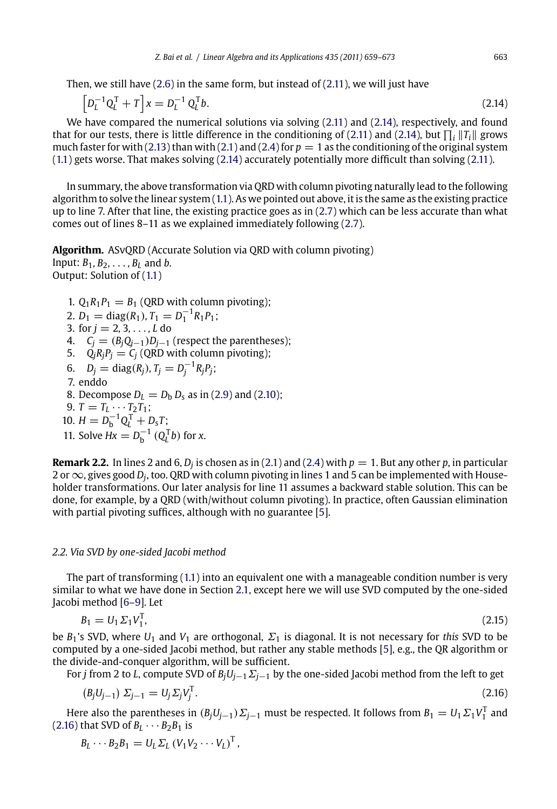<span id="page-4-0"></span>Then, we still have (2.6) in the same form, but instead o[f](#page-3-0) [\(2.11\), w](#page-3-0)e will just have

$$
\left[D_L^{-1}Q_L^{\mathrm{T}} + T\right]x = D_L^{-1}Q_L^{\mathrm{T}}b. \tag{2.14}
$$

We have compared the numerical solutions via solving (2.11) and (2.14), respectively, and found that for our tests, there is little difference in the conditioning of (2.11) and (2.14), but  $\prod_i ||T_i||$  grows much faster for with [\(2.1](#page-1-0)3) than with (2.1) and (2.4) for  $p = 1$  as the conditioning of the original system (1.1) gets worse. That makes solving (2.14) accurately potentially more difficult than solving (2.11).

In summary, the above transformation via QRD with column pivoting naturally lead to the following algorithm to solve the linear system (1.1). As we pointed out above, it is the same as the existing practice up to line 7. After that line, the existing practice goes as in (2.7) which can be less accurate than what comes out of lines 8–11 as we explained immediately following (2.7).

**Algorithm.** ASvQRD (Accurate Solution via QRD with column pivoting) Input: *B*1*, B*2*,* ... *, BL* and *b*. Output: Solution of (1.1)

- 1.  $Q_1R_1P_1 = B_1$  (QRD with column pivoting);
- 2.  $D_1 = \text{diag}(R_1)$ ,  $T_1 = D_1^{-1}R_1P_1$ ;
- 3. for *<sup>j</sup>* = <sup>2</sup>*,* <sup>3</sup>*,* ... *, L* do
- 4.  $C_j = (B_j Q_{j-1}) D_{j-1}$  (respect the parentheses);
- 5.  $\dot{Q}_i R_i P_j = \dot{C}_j$  (QRD with column pivoting);
- 6.  $D_j = \text{diag}(R_j)$ ,  $T_j = D_j^{-1} R_j P_j$ ; 7. enddo 8. Decompose  $D_L = D_b D_s$  as in (2.9) and (2.10); 9.  $T = T_L \cdots T_2 T_1;$
- 10.  $H = D_b^{-1} Q_L^T + D_s T;$
- 11. Solve  $Hx = D_b^{-1} (Q_L^T b)$  [for](#page-1-0) *x*.

**Remark 2.2.** In li[nes](#page-13-0) 2 a[n](#page-2-0)d 6,  $D_i$  is chosen [as](#page-2-0) in (2.1) and (2.4) with  $p = 1$ . But any other p, in particular 2 or∞, gives g[ood](#page-13-0) *Dj*, too. QRD with column pivoting in lines 1 and 5 can be implemented with Householder transformations. Our later analysis for line 11 assumes a backward stable solution. This can be done, for example, by a QRD (with/without column pivoting). In practice, often Gaussian elimination with partial pivoting suffices, although with no guarantee [5].

# *2.2. Via SVD by one-sided Jacobi method*

The part of transforming (1.1) into an equivalent one with a manageable condition number is very similar to what we have done in Section 2.1, except here we will use SVD computed by the one-sided Jacobi method [6–9]. Let

 $B_1 = U_1 \Sigma_1 V_1^T$  $\frac{1}{1}$ , (2.15)

be *B*1's SVD, where *U*<sup>1</sup> and *V*<sup>1</sup> are orthogonal, Σ<sup>1</sup> is diagonal. It is not necessary for *this* SVD to be computed by a one-sided Jacobi method, but rather any stable methods [5], e.g., the QR algorithm or the divide-and-conquer algorithm, will be sufficient.

For *<sup>j</sup>* from 2 to *<sup>L</sup>*, compute SVD of *BjUj*−<sup>1</sup>Σ*<sup>j</sup>*−<sup>1</sup> by the one-sided Jacobi method from the left to get

$$
(B_j U_{j-1}) \Sigma_{j-1} = U_j \Sigma_j V_j^{\mathrm{T}}.
$$
\n(2.16)

Here also the parentheses in  $(B_jU_{j-1})\Sigma_{j-1}$  must be respected. It follows from  $B_1 = U_1 \Sigma_1 V_1^T$  and (2.16) that SVD of  $B_L \cdots B_2 B_1$  is

$$
B_L \cdots B_2 B_1 = U_L \Sigma_L (V_1 V_2 \cdots V_L)^T,
$$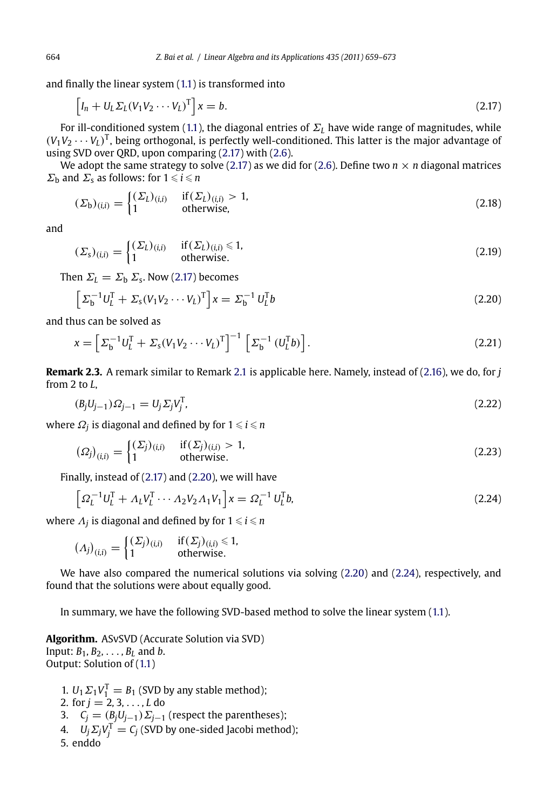and finally the linear system (1.1) is transformed into

$$
\[I_n + U_L \Sigma_L (V_1 V_2 \cdots V_L)^T\]x = b. \tag{2.17}
$$

For ill-conditioned system (1.1), the diagonal entries of  $\Sigma<sub>L</sub>$  have wide range of magnitudes, while  $(V_1V_2 \cdots V_L)^T$ , being orthogonal, is perfectly well-conditioned. This latter is the major advantage of using SVD over QRD, upon comparing (2.17) with (2.6).

We adopt the same strategy to solve (2.17) as we did for (2.6). Define two  $n \times n$  diagonal matrices  $\Sigma_{\rm b}$  and  $\Sigma_{\rm s}$  as follows: for  $1 \leqslant i \leqslant n$ 

$$
(\Sigma_{\mathbf{b}})_{(i,i)} = \begin{cases} (\Sigma_L)_{(i,i)} & \text{if } (\Sigma_L)_{(i,i)} > 1, \\ 1 & \text{otherwise,} \end{cases} \tag{2.18}
$$

and

$$
(\Sigma_{\mathsf{s}})_{(i,i)} = \begin{cases} (\Sigma_L)_{(i,i)} & \text{if } (\Sigma_L)_{(i,i)} \le 1, \\ 1 & \text{otherwise.} \end{cases} \tag{2.19}
$$

Then  $\Sigma_L = \Sigma_b \Sigma_s$ . Now (2.17) becomes

$$
\[ \Sigma_{\mathbf{b}}^{-1} U_L^{\mathrm{T}} + \Sigma_{\mathbf{s}} (V_1 V_2 \cdots V_L)^{\mathrm{T}} \] x = \Sigma_{\mathbf{b}}^{-1} U_L^{\mathrm{T}} b \tag{2.20}
$$

and thus can be solved as

$$
x = \left[\Sigma_b^{-1} U_L^{\mathrm{T}} + \Sigma_s (V_1 V_2 \cdots V_L)^{\mathrm{T}}\right]^{-1} \left[\Sigma_b^{-1} (U_L^{\mathrm{T}} b)\right].\tag{2.21}
$$

**Remark 2.3.** A remark similar to Remark 2.1 is applicable here. Namely, instead of (2.16), we do, for *j* from 2 to *L*,

$$
(B_j U_{j-1}) \Omega_{j-1} = U_j \Sigma_j V_j^{\mathrm{T}}, \tag{2.22}
$$

where  $\varOmega_j$  is diagonal and defined by for  $1$   $\leqslant$   $i$   $\leqslant$   $n$ 

$$
(\Omega_j)_{(i,i)} = \begin{cases} (\Sigma_j)_{(i,i)} & \text{if } (\Sigma_j)_{(i,i)} > 1, \\ 1 & \text{otherwise.} \end{cases} \tag{2.23}
$$

Finally, instead of (2.17) and (2.20), we will have

$$
\left[\Omega_L^{-1}U_L^{\mathrm{T}} + \Lambda_L V_L^{\mathrm{T}} \cdots \Lambda_2 V_2 \Lambda_1 V_1\right]x = \Omega_L^{-1} U_L^{\mathrm{T}}b,\tag{2.24}
$$

where  $\Lambda_j$  is diagonal and defined by for  $1 \leqslant i \leqslant n$ 

$$
(\Lambda_j)_{(i,i)} = \begin{cases} (\Sigma_j)_{(i,i)} & \text{if } (\Sigma_j)_{(i,i)} \leq 1, \\ 1 & \text{otherwise.} \end{cases}
$$

We have also compared the numerical solutions via solving (2.20) and (2.24), respectively, and found that the solutions were about equally good.

In summary, we have the following SVD-based method to solve the linear system (1.1).

- **Algorithm.** ASvSVD (Accurate Solution via SVD) Input: *B*1*, B*2*,* ... *, BL* and *b*. Output: Solution of (1.1)
	- 1.  $U_1 \Sigma_1 V_1^{\mathrm{T}} = B_1$  (SVD by any stable method); 2. for *<sup>j</sup>* = <sup>2</sup>*,* <sup>3</sup>*,* ... *, L* do 3.  $C_j = (B_j U_{j-1}) \sum_{j-1}$  (respect the parentheses); 4.  $U_j \Sigma_j V_j^T = C_j$  (SVD by one-sided Jacobi method); 5. enddo

<span id="page-5-0"></span>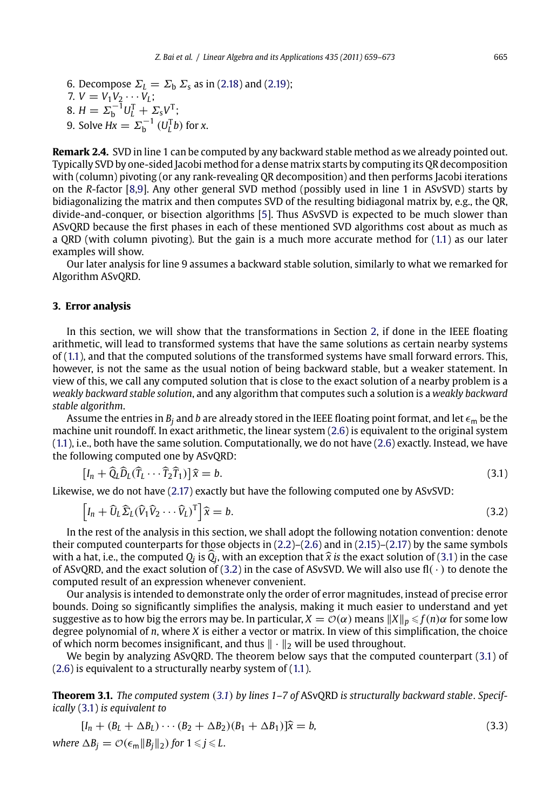<span id="page-6-0"></span>6. Decompose  $\Sigma_L = \Sigma_b \Sigma_s$  as in (2.18) an[d \(2](#page-13-0).19); 7.  $V = V_1 V_2 \cdots V_L$ ; 8.  $H = \Sigma_b^{-1} U_L^T + \Sigma_s V^T;$ 9. Solve  $Hx = \Sigma_{b}^{-1} (U_{L}^{T}b)$  for *x*.

**Remark 2.4.** SVD in line 1 can be computed by any backward stable method as we already pointed out. Typically SVD by one-sided Jacobi method for a dense matrix starts by computing its QR decomposition with (column) pivoting (or any rank-revealing QR decomposition) and then performs Jacobi iterations on the *R*-factor [8,9]. Any other general SVD method (possibly used in line 1 in ASvSVD) starts by bidiagonalizing the matrix and then computes SVD of the resulting bi[dia](#page-2-0)gonal matrix by, e.g., the QR, divide-and-conquer, or bisection algorithms [5]. Thus ASvSVD is expected to be much slower than AS[vQR](#page-1-0)D because the first phases in each of these mentioned SVD algorithms cost about as much as a QRD (with column pivoting). But the gain is a much more accurate method for (1.1) as our later examples will show.

Our later analysis for line 9 assumes a backward stable solution, similarly to what we remarked for Algorithm ASvQRD.

### **[3. E](#page-1-0)rror analysis**

In this section, we will show that the transformations in Section 2, if done in the IEEE floating arithmetic, will lead to transformed systems that have the same solutions as certain nearby systems of (1.1), and that the com[puted](#page-5-0) solutions of the transformed systems have small forward errors. This, however, is not the same as the usual notion of being backward stable, but a weaker statement. In view of this, we call any computed solution that is close to the exact solution of a nearby problem is a *weakly backward stable solution*, and any algorithm that computes such a solution is a *weakly backward stable algorithm*.

Assume the entries [in](#page-2-0)  $B_i$  and *b* are already stor[ed](#page-2-0) in t[he](#page-2-0) [IE](#page-2-0)EE float[ing](#page-4-0) [p](#page-4-0)oi[nt](#page-5-0) [for](#page-5-0)mat, and let  $\epsilon_m$  be the machine unit roundoff. In exact arithmetic, the linear system (2.6) is equivalent to the original system (1.1), i.e., both have the same solution. Computationally, we do not have (2.6) exactly. Instead, we have the following computed one by ASvQRD:

$$
[I_n + \widehat{Q}_L \widehat{D}_L (\widehat{T}_L \cdots \widehat{T}_2 \widehat{T}_1)] \widehat{x} = b. \tag{3.1}
$$

Likewise, we do not have (2.17) exactly but have the following computed one by ASvSVD:

$$
\left[I_n + \widehat{U}_L \widehat{\Sigma}_L (\widehat{V}_1 \widehat{V}_2 \cdots \widehat{V}_L)^T\right] \widehat{x} = b. \tag{3.2}
$$

[In](#page-2-0) the rest of the analysis in this section, we shall [adop](#page-1-0)t the following notation convention: denote their computed counterparts for those objects in  $(2.2)$ – $(2.6)$  and in  $(2.15)$ – $(2.17)$  by the same symbols with a hat, i.e., the computed *Q<sub>j</sub>* is *Q<sub>j</sub>*, with an exception that  $\hat{x}$  is the exact solution of (3.1) in the case<br>of ASyOPD, and the exact solution of (3.2) in the case of ASySVD, We will also use fl(, ) to denote of ASvQRD, and the exact solution of (3.2) in the case of ASvSVD. We will also use fl( $\cdot$ ) to denote the computed result of an expression whenever convenient.

Our analysis is intended to demonstrate only the order of error magnitudes, instead of precise error bounds. Doing so significantly simplifies the analysis, making it much easier to understand and yet suggestive as to how big the errors may be. In particular,  $X = \mathcal{O}(\alpha)$  means  $||X||_p \leq f(n)\alpha$  for some low degree polynomial of *n*, where *X* is either a vector or matrix. In view of this simplification, the choice of which norm becomes insignificant, and thus  $\|\cdot\|_2$  will be used throughout.

We begin by analyzing ASvQRD. The theorem below says that the computed counterpart (3.1) of (2.6) is equivalent to a structurally nearby system of (1.1).

**Theorem 3.1.** *The computed system* (*3.1*) *by lines 1–7 of* ASvQRD *is structurally backward stable*. *Specifically* (3.1) *is equivalent to*

$$
[I_n + (B_L + \Delta B_L) \cdots (B_2 + \Delta B_2)(B_1 + \Delta B_1)]\hat{x} = b,
$$
  
where  $\Delta B_j = \mathcal{O}(\epsilon_m ||B_j||_2)$  for  $1 \le j \le L$ . (3.3)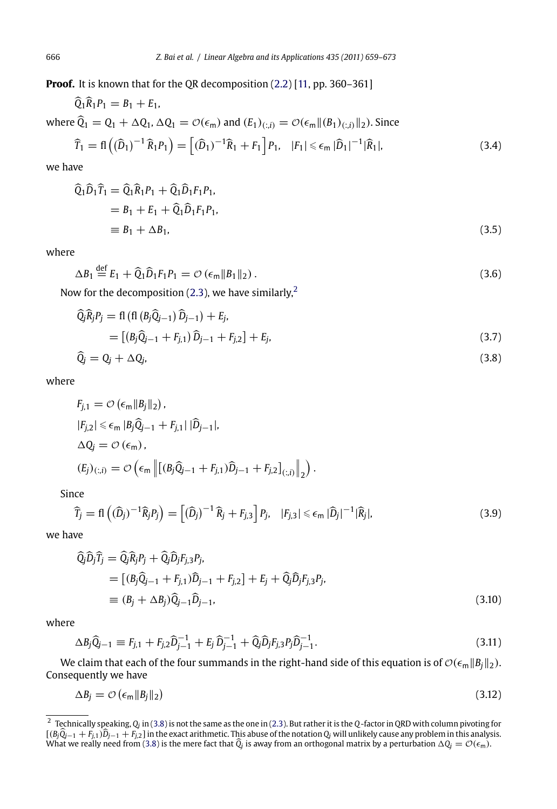**Proof.** It is known that for the QR decomposition (2.2) [11, pp. 360-361]

$$
\widehat{Q}_1 \widehat{R}_1 P_1 = B_1 + E_1,
$$
\nwhere  $\widehat{Q}_1 = Q_1 + \Delta Q_1$ ,  $\Delta Q_1 = \mathcal{O}(\epsilon_m)$  and  $(E_1)_{(:,i)} = \mathcal{O}(\epsilon_m || (B_1)_{(:,i)} ||_2)$ . Since\n
$$
\widehat{T}_1 = \mathbf{f} \left( (\widehat{D}_1)^{-1} \widehat{R}_1 P_1 \right) = \left[ (\widehat{D}_1)^{-1} \widehat{R}_1 + F_1 \right] P_1, \quad |F_1| \leq \epsilon_m |\widehat{D}_1|^{-1} |\widehat{R}_1|,\tag{3.4}
$$

we have

$$
\begin{aligned}\n\widehat{Q}_1 \widehat{D}_1 \widehat{T}_1 &= \widehat{Q}_1 \widehat{R}_1 P_1 + \widehat{Q}_1 \widehat{D}_1 F_1 P_1, \\
&= B_1 + E_1 + \widehat{Q}_1 \widehat{D}_1 F_1 P_1, \\
&\equiv B_1 + \Delta B_1,\n\end{aligned} \tag{3.5}
$$

where

$$
\Delta B_1 \stackrel{\text{def}}{=} E_1 + \widehat{Q}_1 \widehat{D}_1 F_1 P_1 = \mathcal{O} \left( \epsilon_m \| B_1 \|_2 \right). \tag{3.6}
$$

Now for the decomposition (2.3), we have similarly,  $\sim$  $\overline{a}$ 

$$
\begin{aligned}\n\widehat{\mathbf{Q}}_j \widehat{\mathbf{R}}_j P_j &= \mathbf{f} \left( \mathbf{f} \left( \mathbf{B}_j \widehat{\mathbf{Q}}_{j-1} \right) \widehat{\mathbf{D}}_{j-1} \right) + E_j, \\
&= \left[ \left( \mathbf{B}_j \widehat{\mathbf{Q}}_{j-1} + F_{j,1} \right) \widehat{\mathbf{D}}_{j-1} + F_{j,2} \right] + E_j, \\
\widehat{\mathbf{Q}}_j &= \mathbf{Q}_j + \Delta \mathbf{Q}_j,\n\end{aligned} \tag{3.7}
$$

where

$$
F_{j,1} = \mathcal{O}\left(\epsilon_m \|B_j\|_2\right),
$$
  
\n
$$
|F_{j,2}| \le \epsilon_m |B_j \hat{Q}_{j-1} + F_{j,1}| |\hat{D}_{j-1}|,
$$
  
\n
$$
\Delta Q_j = \mathcal{O}\left(\epsilon_m\right),
$$
  
\n
$$
(E_j)_{(:,i)} = \mathcal{O}\left(\epsilon_m \left\| \left[ (B_j \hat{Q}_{j-1} + F_{j,1}) \hat{D}_{j-1} + F_{j,2} \right]_{(:,i)} \right\|_2 \right).
$$

Since

$$
\widehat{T}_j = \mathbf{f} \left( (\widehat{D}_j)^{-1} \widehat{R}_j P_j \right) = \left[ (\widehat{D}_j)^{-1} \widehat{R}_j + F_{j,3} \right] P_j, \quad |F_{j,3}| \leq \epsilon_m |\widehat{D}_j|^{-1} |\widehat{R}_j|,\tag{3.9}
$$

we have

$$
\begin{aligned}\n\widehat{Q}_j \widehat{D}_j \widehat{T}_j &= \widehat{Q}_j \widehat{R}_j P_j + \widehat{Q}_j \widehat{D}_j F_{j,3} P_j, \\
&= \left[ (B_j \widehat{Q}_{j-1} + F_{j,1}) \widehat{D}_{j-1} + F_{j,2} \right] + E_j + \widehat{Q}_j \widehat{D}_j F_{j,3} P_j, \\
&\equiv (B_j + \Delta B_j) \widehat{Q}_{j-1} \widehat{D}_{j-1},\n\end{aligned} \tag{3.10}
$$

where

$$
\Delta B_j \widehat{Q}_{j-1} \equiv F_{j,1} + F_{j,2} \widehat{D}_{j-1}^{-1} + E_j \widehat{D}_{j-1}^{-1} + \widehat{Q}_j \widehat{D}_j F_{j,3} P_j \widehat{D}_{j-1}^{-1}.
$$
\n(3.11)

We claim that each of the four summands in the right-hand side of this equation is of  $\mathcal{O}(\epsilon_m \|B_j\|_2)$ . Consequently we have

$$
\Delta B_j = \mathcal{O}\left(\epsilon_m \|B_j\|_2\right) \tag{3.12}
$$

<sup>2</sup> Technically speaking, *Qj* in (3.8) is not the same as the one in (2.3). But rather it is the *Q*-factor in QRD with column pivoting for  $[(B_j\tilde{Q}_{j-1}+F_{j.1})\tilde{D}_{j-1}+F_{j.2}]$  in the exact arithmetic. This abuse of the notation  $Q_j$  will unlikely cause any problem in this analysis.<br>What we really need from (3.8) is the mere fact that  $\tilde{Q}_j$  is away fro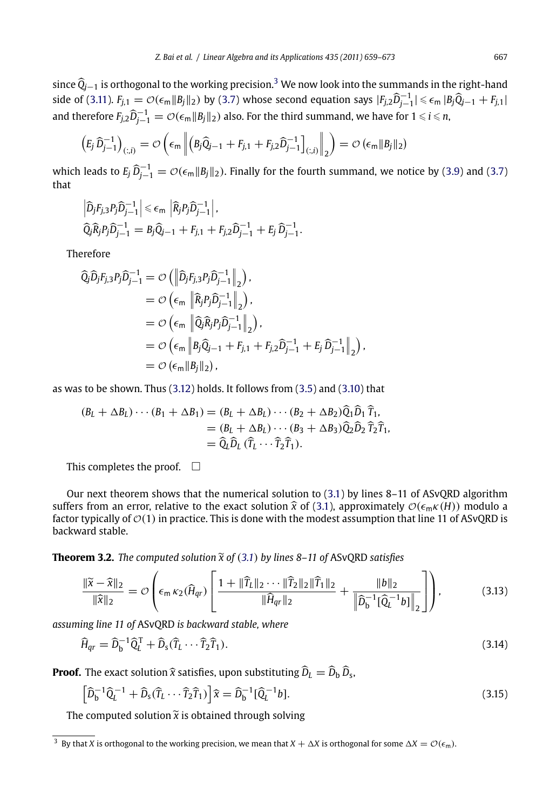<span id="page-8-0"></span>since *Q j*−<sup>1</sup> is orthogonal to the working precision.<sup>3</sup> We now look into the summands in the right-hand side of (3.11).  $F_{j,1} = \mathcal{O}(\epsilon_m ||B_j||_2)$  by (3.7) whose second equation says  $|F_{j,2}\hat{D}_{j-1}^{-1}| \leq \epsilon_m |B_j\hat{Q}_{j-1} + F_{j,1}|$ and therefore  $F_{j,2}\widehat{D}_{j-1}^{-1} = \mathcal{O}(\epsilon_m \|B_j\|_2)$  also. For the third summand, we have for  $1 \leq i \leq n$ ,

$$
\left(E_j \,\widehat{D}_{j-1}^{-1}\right)_{(:,i)} = \mathcal{O}\left(\epsilon_m \left\| \left(B_j \,\widehat{Q}_{j-1} + F_{j,1} + F_{j,2} \,\widehat{D}_{j-1}^{-1}\right]_{(:,i)} \right\|_2\right) = \mathcal{O}\left(\epsilon_m \|B_j\|_2\right)
$$

which leads to  $E_j \, \widehat{D}^{-1}_{j-1} = \mathcal{O}(\epsilon_m \|B_j\|_2).$  Finally for the fourth summand, we notice by (3.9) and (3.7) that

*,*

$$
\left| \widehat{D}_j F_{j,3} P_j \widehat{D}_{j-1}^{-1} \right| \le \epsilon_m \left| \widehat{R}_j P_j \widehat{D}_{j-1}^{-1} \right|,
$$
  

$$
\widehat{Q}_j \widehat{R}_j P_j \widehat{D}_{j-1}^{-1} = B_j \widehat{Q}_{j-1} + F_{j,1} + F_{j,2} \widehat{D}_{j-1}^{-1} + E_j \widehat{D}_{j-1}^{-1}.
$$

Therefore

$$
\begin{split}\n\widehat{Q}_{j}\widehat{D}_{j}F_{j,3}P_{j}\widehat{D}_{j-1}^{-1} &= \mathcal{O}\left(\left\|\widehat{D}_{j}F_{j,3}P_{j}\widehat{D}_{j-1}^{-1}\right\|_{2}\right), \\
&= \mathcal{O}\left(\epsilon_{m} \left\|\widehat{R}_{j}P_{j}\widehat{D}_{j-1}^{-1}\right\|_{2}\right), \\
&= \mathcal{O}\left(\epsilon_{m} \left\|\widehat{Q}_{j}\widehat{R}_{j}P_{j}\widehat{D}_{j-1}^{-1}\right\|_{2}\right), \\
&= \mathcal{O}\left(\epsilon_{m} \left\|B_{j}\widehat{Q}_{j-1} + F_{j,1} + F_{j,2}\widehat{D}_{j-1}^{-1} + E_{j}\widehat{D}_{j-1}^{-1}\right\|_{2}\right) \\
&= \mathcal{O}\left(\epsilon_{m} \|B_{j}\|_{2}\right),\n\end{split}
$$

as was to be shown. Thus (3.12) holds. It follows from (3.5) and (3.10) that

$$
(B_L + \Delta B_L) \cdots (B_1 + \Delta B_1) = (B_L + \Delta B_L) \cdots (B_2 + \Delta B_2) \hat{Q}_1 \hat{D}_1 \hat{T}_1,
$$
  
=  $(B_L + \Delta B_L) \cdots (B_3 + \Delta B_3) \hat{Q}_2 \hat{D}_2 \hat{T}_2 \hat{T}_1,$   
=  $\hat{Q}_L \hat{D}_L (\hat{T}_L \cdots \hat{T}_2 \hat{T}_1).$ 

This completes the proof.  $\square$ 

Our next theorem shows that the numerical solution to (3.1) by lines 8–11 of ASvQRD algorithm suffers from an error, relative to the exact solution  $\hat{x}$  of (3.1), approximately  $\mathcal{O}(\epsilon_m \kappa(H))$  modulo a factor typically of  $\mathcal{O}(1)$  in practice. This is done with the modest assumption that line 11 of ASvQRD is backward stable.

**Theorem 3.2.** *The computed solution*-*x of* (*3.1*) *by lines 8–11 of* ASvQRD *satisfies*

$$
\frac{\|\widetilde{x} - \widehat{x}\|_2}{\|\widehat{x}\|_2} = \mathcal{O}\left(\epsilon_m \kappa_2(\widehat{H}_{qr}) \left[ \frac{1 + \|\widehat{T}_L\|_2 \cdots \|\widehat{T}_2\|_2 \|\widehat{T}_1\|_2}{\|\widehat{H}_{qr}\|_2} + \frac{\|b\|_2}{\left\|\widehat{D}_b^{-1}[\widehat{Q}_L^{-1}b]\right\|_2} \right] \right),\tag{3.13}
$$

*assuming line 11 of* ASvQRD *is backward stable, where*

$$
\widehat{H}_{qr} = \widehat{D}_b^{-1} \widehat{Q}_t^T + \widehat{D}_s (\widehat{T}_L \cdots \widehat{T}_2 \widehat{T}_1). \tag{3.14}
$$

**Proof.** The exact solution  $\hat{x}$  satisfies, upon substituting  $\hat{D}_L = \hat{D}_b \hat{D}_s$ ,

$$
\left[\widehat{D}_{\mathsf{b}}^{-1}\widehat{Q}_{\mathsf{L}}^{-1} + \widehat{D}_{\mathsf{S}}(\widehat{T}_{\mathsf{L}}\cdots\widehat{T}_{2}\widehat{T}_{1})\right]\widehat{x} = \widehat{D}_{\mathsf{b}}^{-1}[\widehat{Q}_{\mathsf{L}}^{-1}b].\tag{3.15}
$$

The computed solution  $\widetilde{x}$  is obtained through solving

<sup>&</sup>lt;sup>3</sup> By that *X* is orthogonal to the working precision, we mean that  $X + \Delta X$  is orthogonal for some  $\Delta X = \mathcal{O}(\epsilon_m)$ .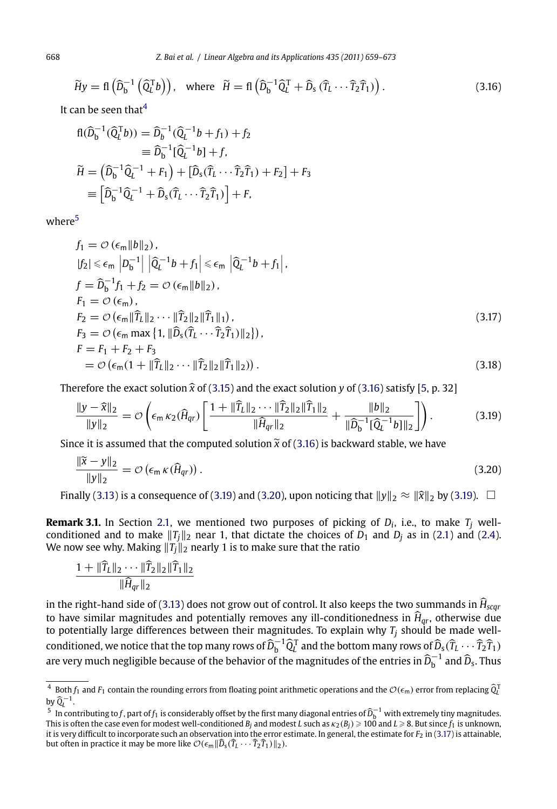$$
\widetilde{H}y = \mathbf{f} \left( \widehat{D}_{b}^{-1} \left( \widehat{Q}_{L}^{T} b \right) \right), \text{ where } \widetilde{H} = \mathbf{f} \left( \widehat{D}_{b}^{-1} \widehat{Q}_{L}^{T} + \widehat{D}_{s} \left( \widehat{T}_{L} \cdots \widehat{T}_{2} \widehat{T}_{1} \right) \right). \tag{3.16}
$$

It can be seen that $4$ 

$$
\begin{aligned} \mathbf{f}(\widehat{D}_{\mathbf{b}}^{-1}(\widehat{Q}_{\mathbf{b}}^{T}\mathbf{b})) &= \widehat{D}_{\mathbf{b}}^{-1}(\widehat{Q}_{\mathbf{a}}^{-1}\mathbf{b} + f_{1}) + f_{2} \\ &= \widehat{D}_{\mathbf{b}}^{-1}[\widehat{Q}_{\mathbf{b}}^{-1}\mathbf{b}] + f, \\ \widetilde{H} &= \left(\widehat{D}_{\mathbf{b}}^{-1}\widehat{Q}_{\mathbf{b}}^{-1} + F_{1}\right) + [\widehat{D}_{\mathbf{s}}(\widehat{T}_{\mathbf{b}}\cdots\widehat{T}_{2}\widehat{T}_{1}) + F_{2}] + F_{3} \\ &= \left[\widehat{D}_{\mathbf{b}}^{-1}\widehat{Q}_{\mathbf{b}}^{-1} + \widehat{D}_{\mathbf{s}}(\widehat{T}_{\mathbf{b}}\cdots\widehat{T}_{2}\widehat{T}_{1})\right] + F, \end{aligned}
$$

where<sup>5</sup>

$$
f_1 = \mathcal{O} (\epsilon_m \|b\|_2),
$$
  
\n
$$
|f_2| \leq \epsilon_m |D_b^{-1}| |\widehat{Q}_L^{-1}b + f_1| \leq \epsilon_m |\widehat{Q}_L^{-1}b + f_1|,
$$
  
\n
$$
f = \widehat{D}_b^{-1} f_1 + f_2 = \mathcal{O} (\epsilon_m \|b\|_2),
$$
  
\n
$$
F_1 = \mathcal{O} (\epsilon_m),
$$
  
\n
$$
F_2 = \mathcal{O} (\epsilon_m \| \widehat{T}_L \|_2 \cdots \| \widehat{T}_2 \|_2 \| \widehat{T}_1 \|_1),
$$
  
\n
$$
F_3 = \mathcal{O} (\epsilon_m \max \{ 1, \| \widehat{D}_s (\widehat{T}_L \cdots \widehat{T}_2 \widehat{T}_1) \|_2 \}),
$$
  
\n
$$
F = F_1 + F_2 + F_3
$$
  
\n
$$
= \mathcal{O} (\epsilon_m (1 + \| \widehat{T}_L \|_2 \cdots \| \widehat{T}_2 \|_2 \| \widehat{T}_1 \|_2)).
$$
\n(3.18)

Therefore the exact s[olut](#page-2-0)ion  $\hat{x}$  of (3.15) and the exact solution *y* of (3.16) satisfy [5, p. 32]

$$
\frac{\|y-\widehat{x}\|_2}{\|y\|_2} = \mathcal{O}\left(\epsilon_m \kappa_2(\widehat{H}_{qr}) \left[ \frac{1 + \|\widehat{T}_L\|_2 \cdots \|\widehat{T}_2\|_2 \|\widehat{T}_1\|_2}{\|\widehat{H}_{qr}\|_2} + \frac{\|b\|_2}{\|\widehat{D}_b^{-1}[\widehat{Q}_L^{-1}b]\|_2} \right] \right). \tag{3.19}
$$

Since it is assumed that the computed solution  $\widetilde{x}$  of (3.16) is backward stable, we have

$$
\frac{\|\tilde{x} - y\|_2}{\|y\|_2} = \mathcal{O}\left(\epsilon_m \kappa(\hat{H}_{qr})\right). \tag{3.20}
$$

Finally (3.13) is a consequence of (3.19) and (3.20), upon noticing that  $||y||_2 \approx ||\hat{x}||_2$  by (3.19).  $\Box$ 

**Remark 3.1.** In Section 2.1, we mentioned two purposes of picking of  $D_i$ , i.e., to make  $T_i$  wellconditioned and to make  $||T_j||_2$  near 1, that dictate the choices of  $D_1$  and  $D_j$  as in (2.1) and (2.4). We now see why. Making  $||T_j||_2$  nearly 1 is to make sure that the ratio

$$
\frac{1 + \|\widehat{T}_L\|_2 \cdots \|\widehat{T}_2\|_2 \|\widehat{T}_1\|_2}{\|\widehat{H}_{qr}\|_2}
$$

in the right-hand side of (3.13) does not grow out of control. It also keeps the two summands in *H scqr* to have similar magnitudes and potentially removes any ill-conditionedness in *H qr*, otherwise due to potentially large differences between their magnitudes. To explain why *Tj* should be made well- $\tilde{C}_{\rm tot}^{\rm T}$  conditioned, we notice that the top many rows of  $\widehat{D}_{\rm b}^{-1}\widehat{Q}_{\rm L}^{\rm T}$  and the bottom many rows of  $\widehat{D}_{\rm s}(\widehat{T}_{\rm L}\cdots\widehat{T}_{\rm 2}\widehat{T}_{\rm 1})$ are very much negligible because of the behavior of the magnitudes of the entries in  $\widehat{D}_\text{b}^{-1}$  and  $\widehat{D}_\text{s}$ . Thus

<sup>&</sup>lt;sup>4</sup> Both  $f_1$  and  $F_1$  contain the rounding errors from floating point arithmetic operations and the  $\mathcal{O}(\epsilon_m)$  error from replacing  $\widehat{Q}_l^T$ by  $\widehat{Q}_L^{-1}$ .

<sup>&</sup>lt;sup>5</sup> In contributing to *f*, part of *f*<sub>1</sub> is considerably offset by the first many diagonal entries of  $\widehat{D}_b^{-1}$  with extremely tiny magnitudes. This is often the case even for modest well-conditioned  $B_j$  and modest  $L$  such as  $\kappa_2(B_j)\geqslant 100$  and  $L\geqslant 8.$  But since  $f_1$  is unknown, it is very difficult to incorporate such an observation into the error estimate. In general, the estimate for *F*<sub>2</sub> in (3.17) is attainable, but often in practice it may be more like  $\mathcal{O}(\epsilon_m \|\widehat{D}_s(\widehat{T}_L \cdots \widehat{T}_2 \widehat{T}_1)\|_2)$ .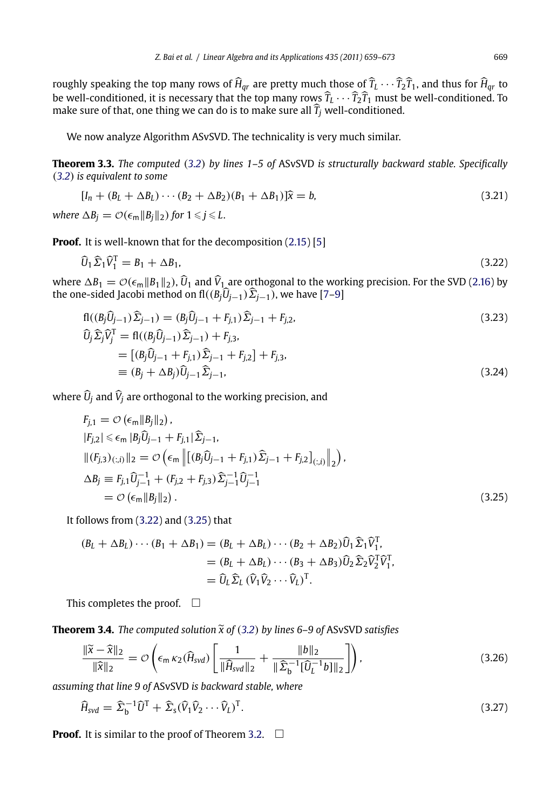<span id="page-10-0"></span>roughly speaking the top many rows of  $H_{qr}$  are pretty much those of  $T_L \cdots T_2 T_1$ , and thus for  $H_{qr}$  to be well-conditioned, it is necessary that the top many rows  $T_L \cdots T_2 T_1$  must be well-conditioned. To make sure of that, one thing we can do is to make s[ure al](#page-4-0)l *[Tj](#page-13-0)* well-conditioned.

We now analyze Algorithm ASvSVD. The technicality is very much similar.

**Theorem 3.3.** *The computed* (*3.2*) *by lines 1–5 of* ASvSVD *i[s stru](#page-13-0)cturally backward stable. Specifically* (*3.2*) *is equivalent to some*

$$
[I_n + (B_L + \Delta B_L) \cdots (B_2 + \Delta B_2)(B_1 + \Delta B_1)]\hat{x} = b,\tag{3.21}
$$

where  $\Delta B_j = \mathcal{O}(\epsilon_m \|B_j\|_2)$  for  $1 \leq j \leq L$ .

**Proof.** It is well-known that for the decomposition  $(2.15)$  [5]

$$
\widehat{U}_1 \widehat{\Sigma}_1 \widehat{V}_1^{\mathrm{T}} = B_1 + \Delta B_1,\tag{3.22}
$$

where  $\Delta B_1 = \mathcal{O}(\epsilon_m \|B_1\|_2)$ ,  $\hat{U}_1$  and  $\hat{V}_1$  are orthogonal to the working precision. For the SVD (2.16) by the one-sided Jacobi method on fl $((B_j \hat{U}_{j-1})\hat{\Sigma}_{j-1})$ , we have [7–9]

$$
fl((B_j\hat{U}_{j-1})\hat{\Sigma}_{j-1}) = (B_j\hat{U}_{j-1} + F_{j,1})\hat{\Sigma}_{j-1} + F_{j,2},
$$
  
\n
$$
\hat{U}_j\hat{\Sigma}_j\hat{V}_j^T = fl((B_j\hat{U}_{j-1})\hat{\Sigma}_{j-1}) + F_{j,3},
$$
  
\n
$$
- \left[ (B_j\hat{U}_{j-1})\hat{\Sigma}_{j-1} + F_{j,3} \hat{\Sigma}_{j-1} + F_{j,1} \right] + F_{j,3}.
$$
\n(3.23)

$$
= [(B_j \hat{U}_{j-1} + F_{j,1}) \hat{\Sigma}_{j-1} + F_{j,2}] + F_{j,3},
$$
  
\n
$$
\equiv (B_j + \Delta B_j) \hat{U}_{j-1} \hat{\Sigma}_{j-1},
$$
\n(3.24)

where *U <sup>j</sup>* and *Vj* are orthogonal to the working precision, and

$$
F_{j,1} = \mathcal{O}(\epsilon_m || B_j ||_2),
$$
  
\n
$$
|F_{j,2}| \le \epsilon_m | B_j \hat{U}_{j-1} + F_{j,1} | \hat{\Sigma}_{j-1},
$$
  
\n
$$
||(F_{j,3})_{(:,i)}||_2 = \mathcal{O}(\epsilon_m ||[(B_j \hat{U}_{j-1} + F_{j,1}) \hat{\Sigma}_{j-1} + F_{j,2}]_{(:,i)}||_2),
$$
  
\n
$$
\Delta B_j \equiv F_{j,1} \hat{U}_{j-1}^{-1} + (F_{j,2} + F_{j,3}) \hat{\Sigma}_{j-1}^{-1} \hat{U}_{j-1}^{-1}
$$
  
\n
$$
= \mathcal{O}(\epsilon_m || B_j ||_2).
$$
\n(3.25)

It follows from (3.22) and (3.25) that

$$
(B_L + \Delta B_L) \cdots (B_1 + \Delta B_1) = (B_L + \Delta B_L) \cdots (B_2 + \Delta B_2) \widehat{U}_1 \widehat{\Sigma}_1 \widehat{V}_1^T,
$$
  
= 
$$
(B_L + \Delta B_L) \cdots (B_3 + \Delta B_3) \widehat{U}_2 \widehat{\Sigma}_2 \widehat{V}_2^T \widehat{V}_1^T,
$$
  
= 
$$
\widehat{U}_L \widehat{\Sigma}_L (\widehat{V}_1 \widehat{V}_2 \cdots \widehat{V}_L)^T.
$$

This completes the proof.  $\square$ 

**Theorem 3.4.** *The computed solution*-*x of* (*3.2*) *by lines 6–9 of* ASvSVD *satisfies*

$$
\frac{\|\widetilde{x} - \widehat{x}\|_2}{\|\widehat{x}\|_2} = \mathcal{O}\left(\epsilon_m \kappa_2 (\widehat{H}_{svd}) \left[\frac{1}{\|\widehat{H}_{svd}\|_2} + \frac{\|b\|_2}{\|\widehat{\Sigma}_{b}^{-1}[\widehat{U}_{L}^{-1}b]\|_2}\right]\right),\tag{3.26}
$$

*assuming that line 9 of* ASvSVD *is backward stable, where*

$$
\widehat{H}_{svd} = \widehat{\Sigma}_{\mathsf{b}}^{-1} \widehat{U}^{\mathsf{T}} + \widehat{\Sigma}_{\mathsf{s}} (\widehat{V}_1 \widehat{V}_2 \cdots \widehat{V}_L)^{\mathsf{T}}.
$$
\n(3.27)

**Proof.** It is similar to the proof of Theorem 3.2.  $\Box$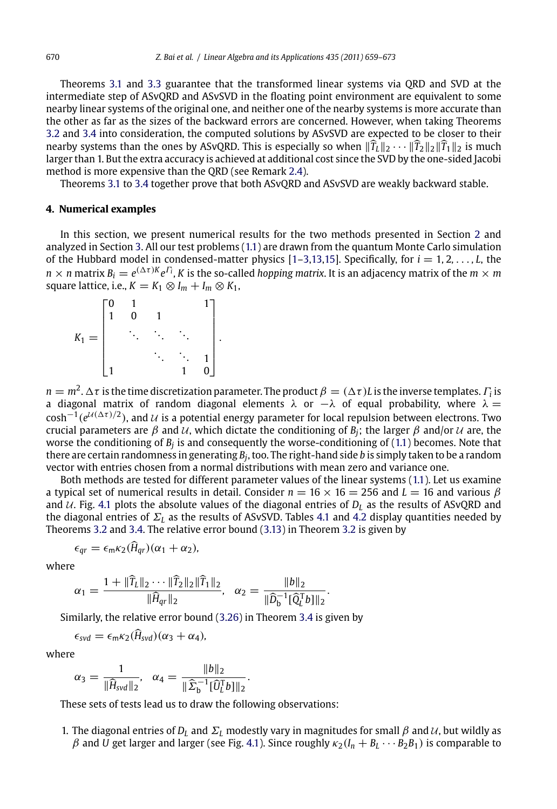Theorems 3.1 and 3.3 guarantee that the transformed linear systems via QRD and SVD at the intermediate step of ASvQRD and ASvSVD in the floating point environment are equivalent t[o so](#page-2-0)me nearby linear syste[ms](#page-6-0) of the original one, an[d ne](#page-1-0)ither one of the nearby systems is more accurate than the other as far as the sizes of the backward errors ar[e co](#page-13-0)[ncerne](#page-14-0)d. However, when taking Theorems 3.2 and 3.4 into consideration, the computed solutions by ASvSVD are expected to be closer to their nearby systems than the ones by ASvQRD. This is especially so when  $\|\tilde{T}_L\|_2 \cdots \|\tilde{T}_2\|_2 \|\tilde{T}_1\|_2$  is much larger than 1. But the extra accuracy is achieved at additional cost since the SVD by the one-sided Jacobi method is more expensive than the QRD (see Remark 2.4).

Theorems 3.1 to 3.4 together prove that both ASvQRD and ASvSVD are weakly backward stable.

#### **4. Numerical examples**

In this section, we present numerical results for the two methods presented in Section 2 and analyzed in Section 3. All our test problems (1.1) are drawn from the quantum Monte Carlo simulation of the Hubbard model in condensed-matter physics [1–3,13,15]. Specifically, for *<sup>i</sup>* = <sup>1</sup>*,* <sup>2</sup>*,* ... *, L*, the  $n \times n$  matrix  $B_i = e^{(\Delta \tau)K} e^{\Gamma_i}$ , *K* is the so-called *hopping matrix*. It is an adjacency matrix of the  $m \times m$ square lattice, i.e.,  $K = K_1 \otimes I_m + I_m \otimes K_1$ ,

| $K_1$<br>$\equiv$ |  |  |   |
|-------------------|--|--|---|
|                   |  |  |   |
|                   |  |  | በ |

*n* =  $m^2$ .  $\Delta \tau$  is the [time](#page-10-0) discretization parameter. [The p](#page-8-0)roduct  $\beta = (\Delta \tau) L$  $\beta = (\Delta \tau) L$  $\beta = (\Delta \tau) L$  is the inverse templates.  $\Gamma_i$  is a diagon[al](#page-8-0) [m](#page-8-0)atrix of random diagonal elements  $\lambda$  or  $-\lambda$  of equal probability, where  $\lambda =$  $cosh^{-1}(e^{\lambda(\Delta \tau)/2})$ , and  $\lambda$  is a potential energy parameter for local repulsion between electrons. Two crucial parameters are  $\beta$  and  $\mathcal{U}$ , which dictate the conditioning of  $B_i$ ; the larger  $\beta$  and/or  $\mathcal{U}$  are, the worse the conditioning of  $B_j$  is and consequently the worse-conditioning of (1.1) becomes. Note that there are certain randomness in generating *Bj*, too. The right-hand side *b* is simply taken to be a random vector with entries chosen from a normal distributions with mean zero and variance one.

Both methods are tested for differ[ent pa](#page-10-0)rameter val[ues o](#page-10-0)f the linear systems (1.1). Let us examine a typical set of numerical results in detail. Consider  $n = 16 \times 16 = 256$  and  $L = 16$  and various  $\beta$ and  $U$ . Fig. 4.1 plots the absolute values of the diagonal entries of  $D<sub>L</sub>$  as the results of ASvQRD and the diagonal entries of Σ*<sup>L</sup>* as the results of ASvSVD. Tables 4.1 and 4.2 display quantities needed by Theorems 3.2 and 3.4. The relative error bound (3.13) in Theorem 3.2 is given by

$$
\epsilon_{qr} = \epsilon_{m} \kappa_2(\widehat{H}_{qr})(\alpha_1 + \alpha_2),
$$

where

$$
\alpha_1 = \frac{1 + \|\widehat{T}_L\|_2 \cdots \|\widehat{T}_2\|_2 \|\widehat{T}_1\|_2}{\|\widehat{H}_{qr}\|_2}, \quad \alpha_2 = \frac{\|b\|_2}{\|\widehat{D}_b^{-1}[\widehat{Q}_L^{\top}b]\|_2}.
$$

Similarly, the relative error bound (3.26) [in](#page-12-0) [T](#page-12-0)heorem 3.4 is given by

$$
\epsilon_{\text{svd}} = \epsilon_{\text{m}} \kappa_2(\widehat{H}_{\text{svd}})(\alpha_3 + \alpha_4),
$$

where

$$
\alpha_3 = \frac{1}{\|\widehat{H}_{svd}\|_2}, \quad \alpha_4 = \frac{\|b\|_2}{\|\widehat{\Sigma}_{\rm b}^{-1}[\widehat{U}_{\rm L}^{\rm T}b]\|_2}.
$$

These sets of tests lead us to draw the following observations:

1. The diagonal entries of  $D_L$  and  $\Sigma_L$  modestly vary in magnitudes for small  $\beta$  and  $\mathcal{U}$ , but wildly as  $β$  and *U* get larger and larger (see Fig. 4.1). Since roughly  $κ_2(I_n + B_L \cdots B_2 B_1)$  is comparable to

<span id="page-11-0"></span>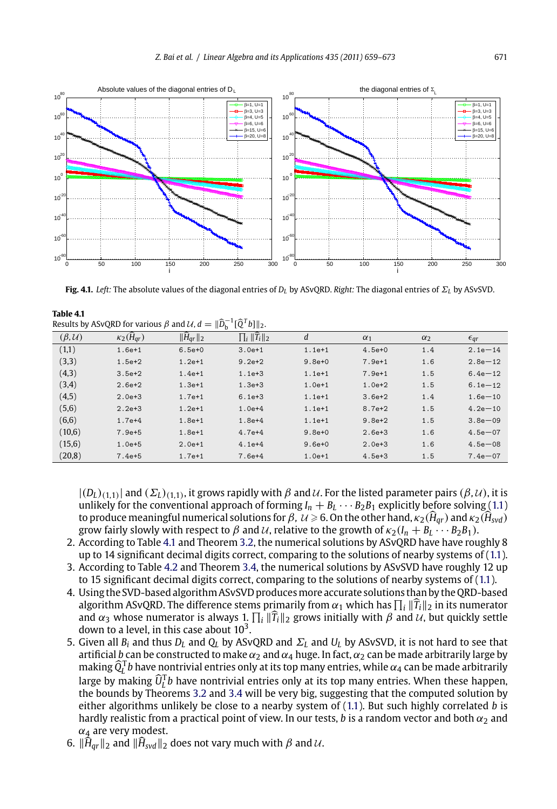

<span id="page-12-0"></span>

**Fig. 4.1.** *Left:* The absolute values of the diagonal entries of *DL* by ASvQRD. *Right:* The diagonal entries of Σ*<sup>L</sup>* by ASvSVD.

| Table 4.1                                                                                                     |  |  |
|---------------------------------------------------------------------------------------------------------------|--|--|
| Results by ASvQRD for various $\beta$ and $\mathcal{U}, d = \ \widehat{D}_{b}^{-1}[\widehat{Q}^{T}b]\ _{2}$ . |  |  |
|                                                                                                               |  |  |

| $(\beta, \mathcal{U})$ | $\kappa_2(H_{ar})$ | $\ \tilde{H}_{qr}\ _2$ | $\prod_i \ \widehat{T}_i\ _2$ | d          | $\alpha_1$ | $\alpha_2$ | $\epsilon_{qr}$ |
|------------------------|--------------------|------------------------|-------------------------------|------------|------------|------------|-----------------|
| (1,1)                  | $1.6e + 1$         | $6.5e+0$               | $3.0e + 1$                    | $1.1e+1$   | $4.5e+0$   | 1.4        | $2.1e - 14$     |
| (3,3)                  | $1.5e + 2$         | $1.2e + 1$             | $9.2e + 2$                    | $9.8e + 0$ | $7.9e + 1$ | 1.6        | $2.8e - 12$     |
| (4,3)                  | $3.5e + 2$         | $1.4e + 1$             | $1.1e + 3$                    | $1.1e+1$   | $7.9e + 1$ | 1.5        | $6.4e - 12$     |
| (3,4)                  | $2.6e + 2$         | $1.3e + 1$             | $1.3e + 3$                    | $1.0e + 1$ | $1.0e + 2$ | 1.5        | $6.1e - 12$     |
| (4,5)                  | $2.0e + 3$         | $1.7e+1$               | $6.1e + 3$                    | $1.1e+1$   | $3.6e + 2$ | 1.4        | $1.6e - 10$     |
| (5,6)                  | $2.2e + 3$         | $1.2e + 1$             | $1.0e + 4$                    | $1.1e+1$   | $8.7e + 2$ | 1.5        | $4.2e - 10$     |
| (6,6)                  | $1.7e+4$           | $1.8e + 1$             | $1.8e + 4$                    | $1.1e+1$   | $9.8e + 2$ | 1.5        | $3.8e - 09$     |
| (10,6)                 | $7.9e + 5$         | $1.8e + 1$             | $4.7e+4$                      | $9.8e + 0$ | $2.6e + 3$ | 1.6        | $4.5e - 07$     |
| (15,6)                 | $1.0e + 5$         | $2.0e+1$               | $4.1e+4$                      | $9.6e + 0$ | $2.0e + 3$ | 1.6        | $4.5e - 08$     |
| (20, 8)                | $7.4e + 5$         | $1.7e + 1$             | $7.6e + 4$                    | $1.0e + 1$ | $4.5e + 3$ | 1.5        | $7.4e - 07$     |

 $|(D_L)_{(1,1)}|$  and  $(\Sigma_L)_{(1,1)}$ , it grows rapidly with  $\beta$  and  $\mathcal U$ . For the listed parameter pairs  $(\beta, \mathcal U)$ , it is unlikely for the conventional approach of forming  $I_n + B_L \cdots B_2 B_1$  explicitly before solving (1.1) to produce meaningful numerical solutions for  $\beta$ ,  $\mathcal{U} \ge 6$ . On the other hand,  $\kappa_2(\widehat{H}_{qr})$  and  $\kappa_2(\widehat{H}_{svd})$ grow fairly slowly with respect to  $\beta$  and  $\mathcal{U}$ , relative to the growth of  $\kappa_2(I_n + B_l \cdots B_2 B_1)$ .

- 2. According to Table 4.1 and Theorem 3.2, the numerical solutions by ASvQRD have have roughly 8 up to 14 significant deci[mal d](#page-8-0)igit[s cor](#page-10-0)rect, comparing to the solutions of nearby systems of (1.1). 3. According to Table 4.2 and Theorem 3.4, the numerical sol[ution](#page-1-0)s by ASvSVD have roughly 12 up
- to 15 significant decimal digits correct, comparing to the solutions of nearby systems of (1.1).
- 4. Using the SVD-based algorithm ASvSVD producesmore accurate solutions than by the QRD-based algorithm ASvQRD. The difference stems primarily from  $\alpha_1$  which has  $\prod_i ||\widehat{T}_i||_2$  in its numerator and  $\alpha_3$  whose numerator is always 1.  $\prod_i \|\widehat{T}_i\|_2$  grows initially with  $\beta$  and  $\mathcal U$ , but quickly settle down to a level, in this case about  $10<sup>3</sup>$ .
- 5. Given all  $B_i$  and thus  $D_l$  and  $Q_l$  by ASvQRD and  $\Sigma_l$  and  $U_l$  by ASvSVD, it is not hard to see that artificial *b* can be constructed to make  $\alpha_2$  and  $\alpha_4$  huge. In fact,  $\alpha_2$  can be made arbitrarily large by making  $\widehat{Q}_L^\top b$  have nontrivial entries only at its top many entries, while  $\alpha_4$  can be made arbitrarily large by making  $\widehat{U}_L^T b$  have nontrivial entries only at its top many entries. When these happen, the bounds by Theorems 3.2 and 3.4 will be very big, suggesting that the computed solution by either algorithms unlikely be close to a nearby system of (1.1). But such highly correlated *b* is hardly realistic from a practical point of view. In our tests, *b* is a random vector and both  $\alpha_2$  and  $\alpha_4$  are very modest.
- 6.  $\|\widehat{H}_{qr}\|_2$  and  $\|\widehat{H}_{svd}\|_2$  does not vary much with  $\beta$  and  $\mathcal{U}$ .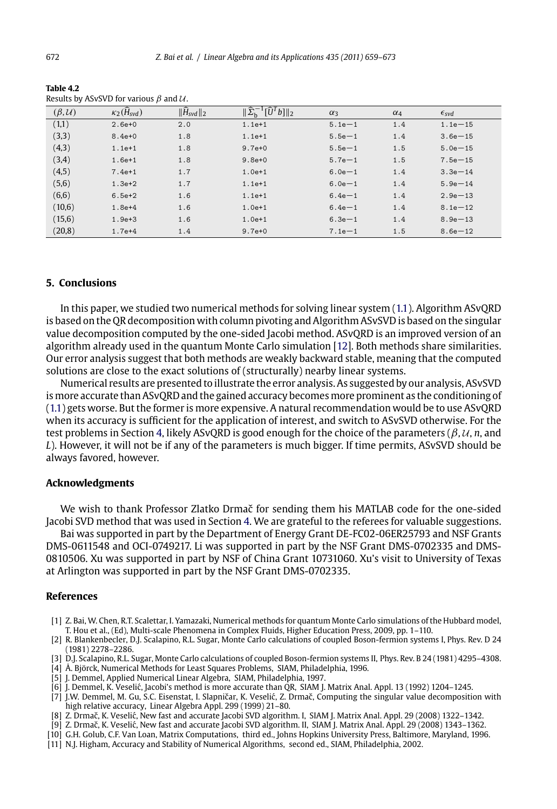<span id="page-13-0"></span>672 *Z. Bai et al. / Linear Algebra and its Applications 435 (2011) 659–673*

**Table 4.2** Results by ASvSVD for various β and U.

| $\alpha$ , $\beta$ and $\beta$ and $\gamma$ and $\gamma$ and $\gamma$ . |                               |                           |                                                       |            |            |                         |
|-------------------------------------------------------------------------|-------------------------------|---------------------------|-------------------------------------------------------|------------|------------|-------------------------|
| $(\beta, \mathcal{U})$                                                  | $\kappa_2(\widehat{H}_{svd})$ | $\ \widehat{H}_{svd}\ _2$ | $\ \widehat{\Sigma}_{\rm b}^{-1}[\widehat{U}^Tb]\ _2$ | $\alpha_3$ | $\alpha_4$ | $\epsilon_{\text{svd}}$ |
| (1,1)                                                                   | $2.6e+0$                      | 2.0                       | $1.1e+1$                                              | $5.1e - 1$ | 1.4        | $1.1e - 15$             |
| (3,3)                                                                   | $8.4e + 0$                    | 1.8                       | $1.1e+1$                                              | $5.5e - 1$ | 1.4        | $3.6e - 15$             |
| (4,3)                                                                   | $1.1e+1$                      | 1.8                       | $9.7e+0$                                              | $5.5e - 1$ | 1.5        | $5.0e - 15$             |
| (3,4)                                                                   | $1.6e + 1$                    | 1.8                       | $9.8e + 0$                                            | $5.7e - 1$ | 1.5        | $7.5e - 15$             |
| (4,5)                                                                   | $7.4e+1$                      | 1.7                       | $1.0e + 1$                                            | $6.0e - 1$ | 1.4        | $3.3e - 14$             |
| (5,6)                                                                   | $1.3e + 2$                    | 1.7                       | $1.1e+1$                                              | $6.0e - 1$ | 1.4        | $5.9e - 14$             |
| (6,6)                                                                   | $6.5e + 2$                    | 1.6                       | $1.1e+1$                                              | $6.4e - 1$ | 1.4        | $2.9e - 13$             |
| (10,6)                                                                  | $1.8e + 4$                    | 1.6                       | $1.0e + 1$                                            | $6.4e - 1$ | 1.4        | $8.1e - 12$             |
| (15,6)                                                                  | $1.9e + 3$                    | 1.6                       | $1.0e + 1$                                            | $6.3e - 1$ | 1.4        | $8.9e - 13$             |
| (20, 8)                                                                 | $1.7e + 4$                    | 1.4                       | $9.7e+0$                                              | $7.1e - 1$ | 1.5        | $8.6e - 12$             |

# **[5.](#page-1-0) [C](#page-1-0)onclusions**

In this paper, we stu[die](#page-11-0)d two numerical methods for solving linear system (1.1). Algorithm ASvQRD is based on the QR decomposition with column pivoting and Algorithm ASvSVD is based on the singular value decomposition computed by the one-sided Jacobi method. ASvQRD is an improved version of an algorithm already used in the quantum Monte Carlo simulation [12]. Both methods share similarities. Our error analysis suggest that both methods are weakly backward stable, meaning that the computed solutions are close to the exact solutions of (structurally) nearby linear systems.

Numerical results are presented to illustr[ate](#page-11-0) the error analysis. As suggested by our analysis, ASvSVD is more accurate than ASvQRD and the gained accuracy becomes more prominent as the conditioning of (1.1) gets worse. But the former is more expensive. A natural recommendation would be to use ASvQRD when its accuracy is sufficient for the application of interest, and switch to ASvSVD otherwise. For the test problems in Section 4, likely ASvQRD is good enough for the choice of the parameters (β*,* <sup>U</sup>, *<sup>n</sup>*, and *L*). However, it will not be if any of the parameters is much bigger. If time permits, ASvSVD should be always favored, however.

# **Acknowledgments**

We wish to thank Professor Zlatko Drmač for sending them his MATLAB code for the one-sided Jacobi SVD method that was used in Section 4. We are grateful to the referees for valuable suggestions.

Bai was supported in part by the Department of Energy Grant DE-FC02-06ER25793 and NSF Grants DMS-0611548 and OCI-0749217. Li was supported in part by the NSF Grant DMS-0702335 and DMS-0810506. Xu was supported in part by NSF of China Grant 10731060. Xu's visit to University of Texas at Arlington was supported in part by the NSF Grant DMS-0702335.

### **References**

- [1] Z. Bai, W. Chen, R.T. Scalettar, I. Yamazaki, Numerical methods for quantum Monte Carlo simulations of the Hubbard model, T. Hou et al., (Ed), Multi-scale Phenomena in Complex Fluids, Higher Education Press, 2009, pp. 1–110.
- [2] R. Blankenbecler, D.J. Scalapino, R.L. Sugar, Monte Carlo calculations of coupled Boson-fermion systems I, Phys. Rev. D 24 (1981) 2278–2286.
- [3] D.J. Scalapino, R.L. Sugar, Monte Carlo calculations of coupled Boson-fermion systems II, Phys. Rev. B 24 (1981) 4295–4308.
- [4] Å. Björck, Numerical Methods for Least Squares Problems, SIAM, Philadelphia, 1996.
- [5] J. Demmel, Applied Numerical Linear Algebra, SIAM, Philadelphia, 1997.
- [6] J. Demmel, K. Veseli´c, Jacobi's method is more accurate than QR, SIAM J. Matrix Anal. Appl. 13 (1992) 1204–1245.
- [7] J.W. Demmel, M. Gu, S.C. Eisenstat, I. Slapničar, K. Veselić, Z. Drmač, Computing the singular value decomposition with high relative accuracy, Linear Algebra Appl. 299 (1999) 21-80.
- [8] Z. Drmač, K. Veselić, New fast and accurate Jacobi SVD algorithm. I, SIAM J. Matrix Anal. Appl. 29 (2008) 1322–1342.<br>[9] Z. Drmač, K. Veselić, New fast and accurate Jacobi SVD algorithm. II, SIAM J. Matrix Anal. Appl.
- 
- [10] G.H. Golub, C.F. Van Loan, Matrix Computations, third ed., Johns Hopkins University Press, Baltimore, Maryland, 1996.<br>[11] N.J. Higham, Accuracy and Stability of Numerical Algorithms, second ed., SIAM, Philadelphi
-